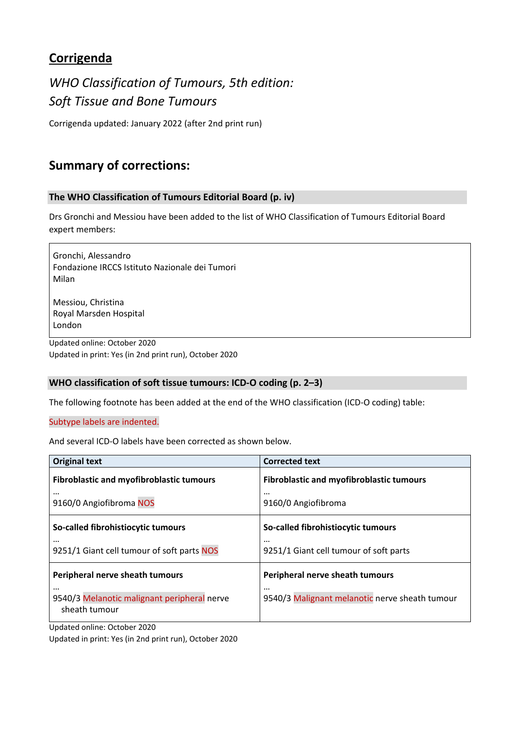# **Corrigenda**

*WHO Classification of Tumours, 5th edition: Soft Tissue and Bone Tumours* 

Corrigenda updated: January 2022 (after 2nd print run)

# **Summary of corrections:**

# **The WHO Classification of Tumours Editorial Board (p. iv)**

Drs Gronchi and Messiou have been added to the list of WHO Classification of Tumours Editorial Board expert members:

Gronchi, Alessandro Fondazione IRCCS Istituto Nazionale dei Tumori Milan

Messiou, Christina Royal Marsden Hospital London

Updated online: October 2020 Updated in print: Yes (in 2nd print run), October 2020

# **WHO classification of soft tissue tumours: ICD‐O coding (p. 2–3)**

The following footnote has been added at the end of the WHO classification (ICD‐O coding) table:

Subtype labels are indented.

And several ICD‐O labels have been corrected as shown below.

| <b>Original text</b>                                                     | <b>Corrected text</b>                                      |
|--------------------------------------------------------------------------|------------------------------------------------------------|
| <b>Fibroblastic and myofibroblastic tumours</b>                          | <b>Fibroblastic and myofibroblastic tumours</b>            |
| $\cdots$<br>9160/0 Angiofibroma NOS                                      | $\cdots$<br>9160/0 Angiofibroma                            |
| So-called fibrohistiocytic tumours                                       | So-called fibrohistiocytic tumours                         |
| $\cdots$<br>9251/1 Giant cell tumour of soft parts NOS                   | $\cdots$<br>9251/1 Giant cell tumour of soft parts         |
| Peripheral nerve sheath tumours                                          | Peripheral nerve sheath tumours                            |
| $\cdots$<br>9540/3 Melanotic malignant peripheral nerve<br>sheath tumour | $\cdots$<br>9540/3 Malignant melanotic nerve sheath tumour |

Updated online: October 2020

Updated in print: Yes (in 2nd print run), October 2020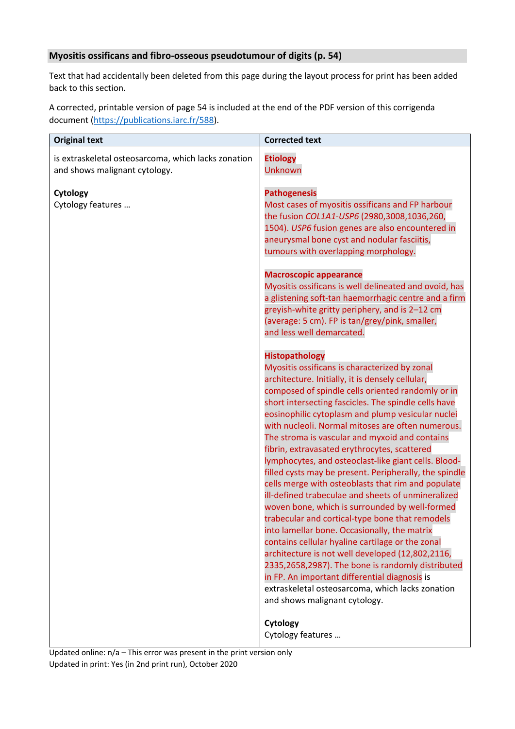# **Myositis ossificans and fibro‐osseous pseudotumour of digits (p. 54)**

Text that had accidentally been deleted from this page during the layout process for print has been added back to this section.

A corrected, printable version of page 54 is included at the end of the PDF version of this corrigenda document (https://publications.iarc.fr/588).

| <b>Original text</b>                                                                 | <b>Corrected text</b>                                                                                                                                                                                                                                                                                                                                                                                                                                                                                                                                                                                                                                                                                                                                                                                                                                                                                                                                                                                                                                                                                                                     |
|--------------------------------------------------------------------------------------|-------------------------------------------------------------------------------------------------------------------------------------------------------------------------------------------------------------------------------------------------------------------------------------------------------------------------------------------------------------------------------------------------------------------------------------------------------------------------------------------------------------------------------------------------------------------------------------------------------------------------------------------------------------------------------------------------------------------------------------------------------------------------------------------------------------------------------------------------------------------------------------------------------------------------------------------------------------------------------------------------------------------------------------------------------------------------------------------------------------------------------------------|
| is extraskeletal osteosarcoma, which lacks zonation<br>and shows malignant cytology. | <b>Etiology</b><br><b>Unknown</b>                                                                                                                                                                                                                                                                                                                                                                                                                                                                                                                                                                                                                                                                                                                                                                                                                                                                                                                                                                                                                                                                                                         |
| Cytology<br>Cytology features                                                        | <b>Pathogenesis</b><br>Most cases of myositis ossificans and FP harbour<br>the fusion COL1A1-USP6 (2980,3008,1036,260,<br>1504). USP6 fusion genes are also encountered in<br>aneurysmal bone cyst and nodular fasciitis,<br>tumours with overlapping morphology.                                                                                                                                                                                                                                                                                                                                                                                                                                                                                                                                                                                                                                                                                                                                                                                                                                                                         |
|                                                                                      | <b>Macroscopic appearance</b><br>Myositis ossificans is well delineated and ovoid, has<br>a glistening soft-tan haemorrhagic centre and a firm<br>greyish-white gritty periphery, and is 2-12 cm<br>(average: 5 cm). FP is tan/grey/pink, smaller,<br>and less well demarcated.                                                                                                                                                                                                                                                                                                                                                                                                                                                                                                                                                                                                                                                                                                                                                                                                                                                           |
|                                                                                      | <b>Histopathology</b><br>Myositis ossificans is characterized by zonal<br>architecture. Initially, it is densely cellular,<br>composed of spindle cells oriented randomly or in<br>short intersecting fascicles. The spindle cells have<br>eosinophilic cytoplasm and plump vesicular nuclei<br>with nucleoli. Normal mitoses are often numerous.<br>The stroma is vascular and myxoid and contains<br>fibrin, extravasated erythrocytes, scattered<br>lymphocytes, and osteoclast-like giant cells. Blood-<br>filled cysts may be present. Peripherally, the spindle<br>cells merge with osteoblasts that rim and populate<br>ill-defined trabeculae and sheets of unmineralized<br>woven bone, which is surrounded by well-formed<br>trabecular and cortical-type bone that remodels<br>into lamellar bone. Occasionally, the matrix<br>contains cellular hyaline cartilage or the zonal<br>architecture is not well developed (12,802,2116,<br>2335,2658,2987). The bone is randomly distributed<br>in FP. An important differential diagnosis is<br>extraskeletal osteosarcoma, which lacks zonation<br>and shows malignant cytology. |
|                                                                                      | Cytology<br>Cytology features                                                                                                                                                                                                                                                                                                                                                                                                                                                                                                                                                                                                                                                                                                                                                                                                                                                                                                                                                                                                                                                                                                             |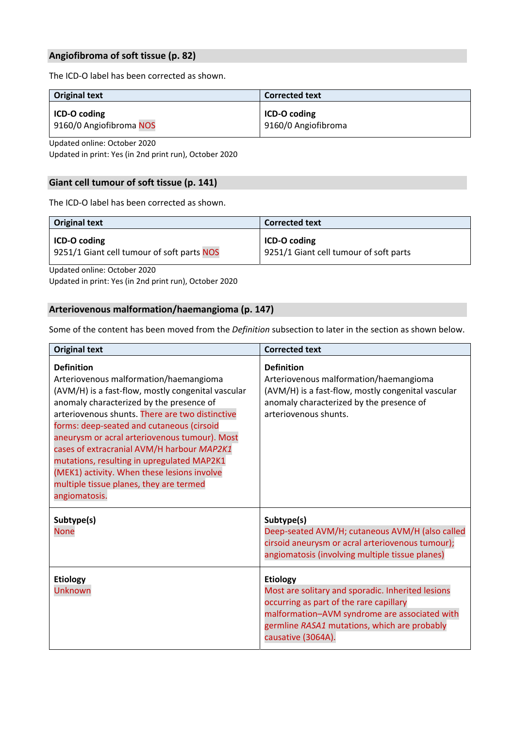# **Angiofibroma of soft tissue (p. 82)**

The ICD‐O label has been corrected as shown.

| <b>Original text</b>    | <b>Corrected text</b> |
|-------------------------|-----------------------|
| ICD-O coding            | ICD-O coding          |
| 9160/0 Angiofibroma NOS | 9160/0 Angiofibroma   |

Updated online: October 2020

Updated in print: Yes (in 2nd print run), October 2020

# **Giant cell tumour of soft tissue (p. 141)**

The ICD‐O label has been corrected as shown.

| <b>Original text</b>                       | <b>Corrected text</b>                  |
|--------------------------------------------|----------------------------------------|
| <b>ICD-O coding</b>                        | ICD-O coding                           |
| 9251/1 Giant cell tumour of soft parts NOS | 9251/1 Giant cell tumour of soft parts |

Updated online: October 2020

Updated in print: Yes (in 2nd print run), October 2020

# **Arteriovenous malformation/haemangioma (p. 147)**

Some of the content has been moved from the *Definition* subsection to later in the section as shown below.

| <b>Original text</b>                                                                                                                                                                                                                                                                                                                                                                                                                                                                                                  | <b>Corrected text</b>                                                                                                                                                                                                                  |
|-----------------------------------------------------------------------------------------------------------------------------------------------------------------------------------------------------------------------------------------------------------------------------------------------------------------------------------------------------------------------------------------------------------------------------------------------------------------------------------------------------------------------|----------------------------------------------------------------------------------------------------------------------------------------------------------------------------------------------------------------------------------------|
| <b>Definition</b><br>Arteriovenous malformation/haemangioma<br>(AVM/H) is a fast-flow, mostly congenital vascular<br>anomaly characterized by the presence of<br>arteriovenous shunts. There are two distinctive<br>forms: deep-seated and cutaneous (cirsoid<br>aneurysm or acral arteriovenous tumour). Most<br>cases of extracranial AVM/H harbour MAP2K1<br>mutations, resulting in upregulated MAP2K1<br>(MEK1) activity. When these lesions involve<br>multiple tissue planes, they are termed<br>angiomatosis. | <b>Definition</b><br>Arteriovenous malformation/haemangioma<br>(AVM/H) is a fast-flow, mostly congenital vascular<br>anomaly characterized by the presence of<br>arteriovenous shunts.                                                 |
| Subtype(s)<br><b>None</b>                                                                                                                                                                                                                                                                                                                                                                                                                                                                                             | Subtype(s)<br>Deep-seated AVM/H; cutaneous AVM/H (also called<br>cirsoid aneurysm or acral arteriovenous tumour);<br>angiomatosis (involving multiple tissue planes)                                                                   |
| <b>Etiology</b><br><b>Unknown</b>                                                                                                                                                                                                                                                                                                                                                                                                                                                                                     | <b>Etiology</b><br>Most are solitary and sporadic. Inherited lesions<br>occurring as part of the rare capillary<br>malformation-AVM syndrome are associated with<br>germline RASA1 mutations, which are probably<br>causative (3064A). |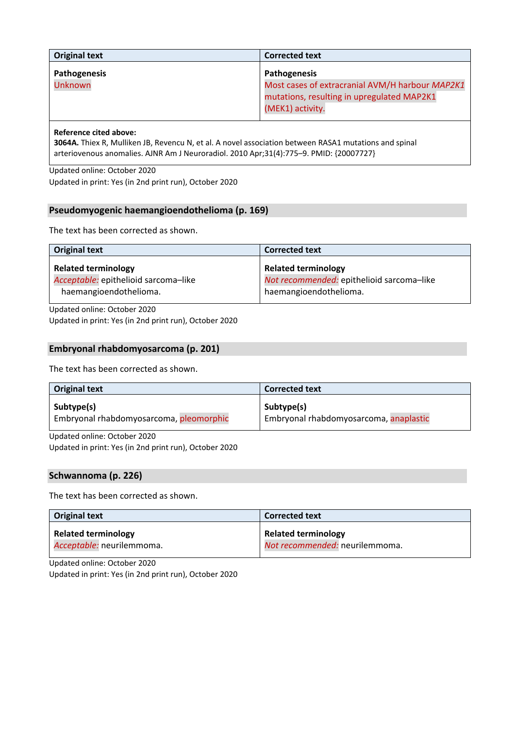| <b>Original text</b>    | <b>Corrected text</b>                                                                                                             |
|-------------------------|-----------------------------------------------------------------------------------------------------------------------------------|
| Pathogenesis<br>Unknown | Pathogenesis<br>Most cases of extracranial AVM/H harbour MAP2K1<br>mutations, resulting in upregulated MAP2K1<br>(MEK1) activity. |

# **Reference cited above:**

**3064A.** Thiex R, Mulliken JB, Revencu N, et al. A novel association between RASA1 mutations and spinal arteriovenous anomalies. AJNR Am J Neuroradiol. 2010 Apr;31(4):775–9. PMID: {20007727}

Updated online: October 2020 Updated in print: Yes (in 2nd print run), October 2020

# **Pseudomyogenic haemangioendothelioma (p. 169)**

The text has been corrected as shown.

| <b>Original text</b>                                                                         | <b>Corrected text</b>                                                                             |
|----------------------------------------------------------------------------------------------|---------------------------------------------------------------------------------------------------|
| <b>Related terminology</b><br>Acceptable: epithelioid sarcoma-like<br>haemangioendothelioma. | <b>Related terminology</b><br>Not recommended: epithelioid sarcoma-like<br>haemangioendothelioma. |
| Undeted online: Ostaber 2020                                                                 |                                                                                                   |

Updated online: October 2020 Updated in print: Yes (in 2nd print run), October 2020

### **Embryonal rhabdomyosarcoma (p. 201)**

The text has been corrected as shown.

| <b>Original text</b>                    | <b>Corrected text</b>                  |
|-----------------------------------------|----------------------------------------|
| Subtype(s)                              | Subtype(s)                             |
| Embryonal rhabdomyosarcoma, pleomorphic | Embryonal rhabdomyosarcoma, anaplastic |

Updated online: October 2020

Updated in print: Yes (in 2nd print run), October 2020

### **Schwannoma (p. 226)**

The text has been corrected as shown.

| <b>Original text</b>       | <b>Corrected text</b>          |
|----------------------------|--------------------------------|
| <b>Related terminology</b> | <b>Related terminology</b>     |
| Acceptable: neurilemmoma.  | Not recommended: neurilemmoma. |

Updated online: October 2020

Updated in print: Yes (in 2nd print run), October 2020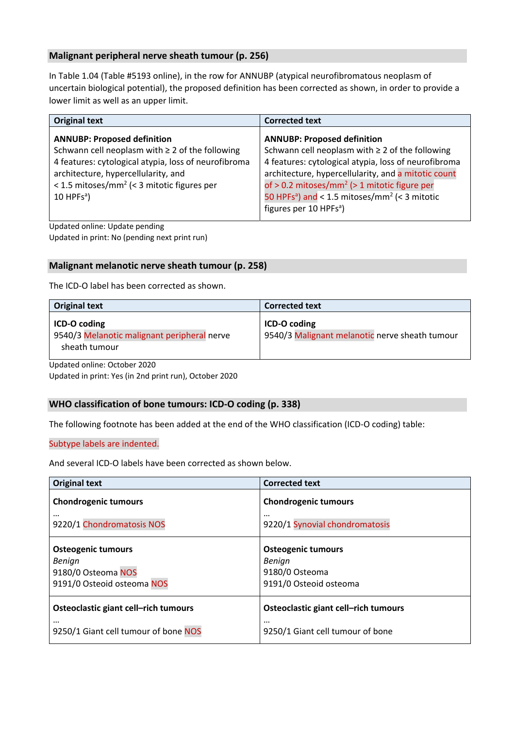# **Malignant peripheral nerve sheath tumour (p. 256)**

In Table 1.04 (Table #5193 online), in the row for ANNUBP (atypical neurofibromatous neoplasm of uncertain biological potential), the proposed definition has been corrected as shown, in order to provide a lower limit as well as an upper limit.

| <b>Original text</b>                                                                                                                                                                                                                                                            | <b>Corrected text</b>                                                                                                                                                                                                                                                                                                                                                                |
|---------------------------------------------------------------------------------------------------------------------------------------------------------------------------------------------------------------------------------------------------------------------------------|--------------------------------------------------------------------------------------------------------------------------------------------------------------------------------------------------------------------------------------------------------------------------------------------------------------------------------------------------------------------------------------|
| <b>ANNUBP: Proposed definition</b><br>Schwann cell neoplasm with $\geq 2$ of the following<br>4 features: cytological atypia, loss of neurofibroma<br>architecture, hypercellularity, and<br>< 1.5 mitoses/mm <sup>2</sup> (< 3 mitotic figures per<br>$10$ HPFs <sup>a</sup> ) | <b>ANNUBP: Proposed definition</b><br>Schwann cell neoplasm with $\geq 2$ of the following<br>4 features: cytological atypia, loss of neurofibroma<br>architecture, hypercellularity, and a mitotic count<br>of > 0.2 mitoses/mm <sup>2</sup> (> 1 mitotic figure per<br>50 HPFs <sup>a</sup> ) and < 1.5 mitoses/mm <sup>2</sup> (< 3 mitotic<br>figures per 10 HPFs <sup>a</sup> ) |

Updated online: Update pending Updated in print: No (pending next print run)

# **Malignant melanotic nerve sheath tumour (p. 258)**

The ICD‐O label has been corrected as shown.

| <b>Original text</b>                                                         | <b>Corrected text</b>                                          |
|------------------------------------------------------------------------------|----------------------------------------------------------------|
| ICD-O coding<br>9540/3 Melanotic malignant peripheral nerve<br>sheath tumour | ICD-O coding<br>9540/3 Malignant melanotic nerve sheath tumour |

Updated online: October 2020

Updated in print: Yes (in 2nd print run), October 2020

### **WHO classification of bone tumours: ICD‐O coding (p. 338)**

The following footnote has been added at the end of the WHO classification (ICD‐O coding) table:

### Subtype labels are indented.

And several ICD‐O labels have been corrected as shown below.

| <b>Original text</b>                 | <b>Corrected text</b>                |
|--------------------------------------|--------------------------------------|
| <b>Chondrogenic tumours</b>          | <b>Chondrogenic tumours</b>          |
| $\cdots$                             | $\cdots$                             |
| 9220/1 Chondromatosis NOS            | 9220/1 Synovial chondromatosis       |
| <b>Osteogenic tumours</b>            | <b>Osteogenic tumours</b>            |
| Benign                               | Benign                               |
| 9180/0 Osteoma NOS                   | 9180/0 Osteoma                       |
| 9191/0 Osteoid osteoma NOS           | 9191/0 Osteoid osteoma               |
| Osteoclastic giant cell-rich tumours | Osteoclastic giant cell-rich tumours |
| $\cdots$                             | $\cdots$                             |
| 9250/1 Giant cell tumour of bone NOS | 9250/1 Giant cell tumour of bone     |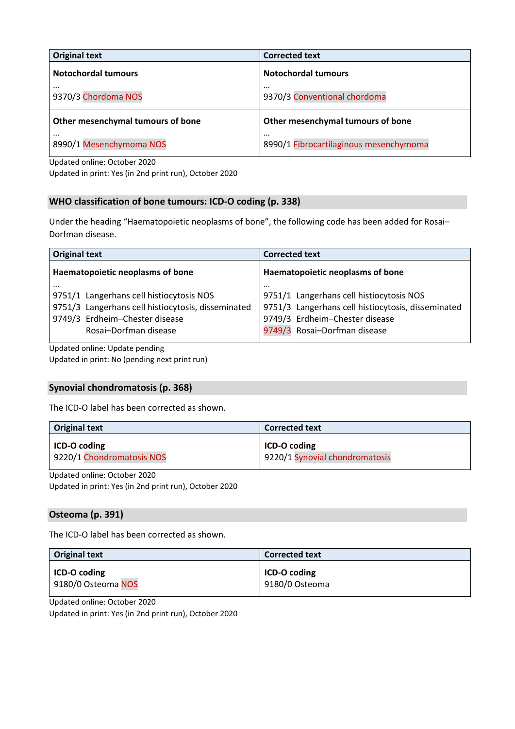| <b>Original text</b>                | <b>Corrected text</b>                      |
|-------------------------------------|--------------------------------------------|
| <b>Notochordal tumours</b>          | <b>Notochordal tumours</b>                 |
| $\cdots$<br>9370/3 Chordoma NOS     | $\cdots$<br>9370/3 Conventional chordoma   |
| Other mesenchymal tumours of bone   | Other mesenchymal tumours of bone          |
| $\cdots$<br>8990/1 Mesenchymoma NOS | <br>8990/1 Fibrocartilaginous mesenchymoma |

Updated online: October 2020

Updated in print: Yes (in 2nd print run), October 2020

# **WHO classification of bone tumours: ICD‐O coding (p. 338)**

Under the heading "Haematopoietic neoplasms of bone", the following code has been added for Rosai– Dorfman disease.

| <b>Original text</b>                               | <b>Corrected text</b>                              |
|----------------------------------------------------|----------------------------------------------------|
| Haematopoietic neoplasms of bone                   | Haematopoietic neoplasms of bone                   |
| $\cdots$                                           | $\cdots$                                           |
| 9751/1 Langerhans cell histiocytosis NOS           | 9751/1 Langerhans cell histiocytosis NOS           |
| 9751/3 Langerhans cell histiocytosis, disseminated | 9751/3 Langerhans cell histiocytosis, disseminated |
| 9749/3 Erdheim-Chester disease                     | 9749/3 Erdheim-Chester disease                     |
| Rosai-Dorfman disease                              | 9749/3 Rosai-Dorfman disease                       |
| .                                                  |                                                    |

Updated online: Update pending Updated in print: No (pending next print run)

# **Synovial chondromatosis (p. 368)**

The ICD‐O label has been corrected as shown.

| <b>Original text</b>      | <b>Corrected text</b>          |
|---------------------------|--------------------------------|
| ICD-O coding              | ICD-O coding                   |
| 9220/1 Chondromatosis NOS | 9220/1 Synovial chondromatosis |

Updated online: October 2020

Updated in print: Yes (in 2nd print run), October 2020

### **Osteoma (p. 391)**

The ICD‐O label has been corrected as shown.

| <b>Original text</b> | <b>Corrected text</b> |
|----------------------|-----------------------|
| ICD-O coding         | ICD-O coding          |
| 9180/0 Osteoma NOS   | 9180/0 Osteoma        |

Updated online: October 2020

Updated in print: Yes (in 2nd print run), October 2020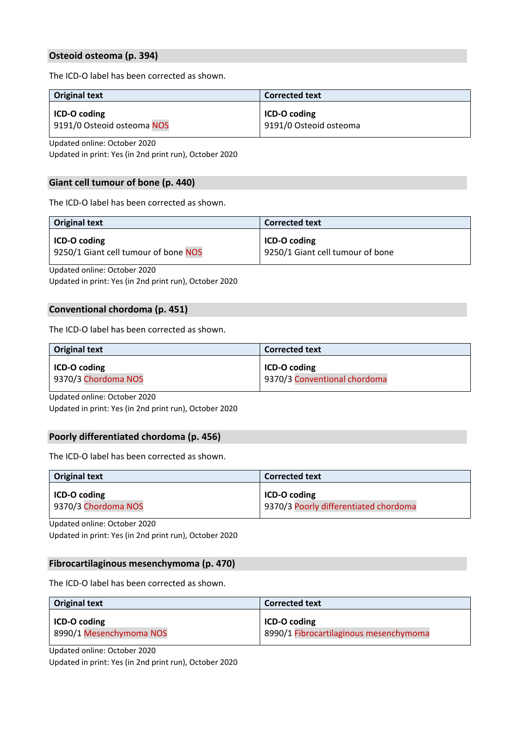# **Osteoid osteoma (p. 394)**

The ICD‐O label has been corrected as shown.

| <b>Original text</b>       | <b>Corrected text</b>  |
|----------------------------|------------------------|
| <b>ICD-O coding</b>        | <b>ICD-O coding</b>    |
| 9191/0 Osteoid osteoma NOS | 9191/0 Osteoid osteoma |

Updated online: October 2020

Updated in print: Yes (in 2nd print run), October 2020

# **Giant cell tumour of bone (p. 440)**

The ICD‐O label has been corrected as shown.

| <b>Original text</b>                 | <b>Corrected text</b>            |
|--------------------------------------|----------------------------------|
| ICD-O coding                         | ICD-O coding                     |
| 9250/1 Giant cell tumour of bone NOS | 9250/1 Giant cell tumour of bone |

Updated online: October 2020

Updated in print: Yes (in 2nd print run), October 2020

### **Conventional chordoma (p. 451)**

The ICD‐O label has been corrected as shown.

| <b>Original text</b> | <b>Corrected text</b>        |
|----------------------|------------------------------|
| <b>ICD-O coding</b>  | ICD-O coding                 |
| 9370/3 Chordoma NOS  | 9370/3 Conventional chordoma |

Updated online: October 2020

Updated in print: Yes (in 2nd print run), October 2020

### **Poorly differentiated chordoma (p. 456)**

The ICD‐O label has been corrected as shown.

| <b>Original text</b> | <b>Corrected text</b>                 |
|----------------------|---------------------------------------|
| ICD-O coding         | ICD-O coding                          |
| 9370/3 Chordoma NOS  | 9370/3 Poorly differentiated chordoma |

Updated online: October 2020

Updated in print: Yes (in 2nd print run), October 2020

### **Fibrocartilaginous mesenchymoma (p. 470)**

The ICD-O label has been corrected as shown.

| <b>Original text</b>    | <b>Corrected text</b>                  |
|-------------------------|----------------------------------------|
| ICD-O coding            | ICD-O coding                           |
| 8990/1 Mesenchymoma NOS | 8990/1 Fibrocartilaginous mesenchymoma |

Updated online: October 2020 Updated in print: Yes (in 2nd print run), October 2020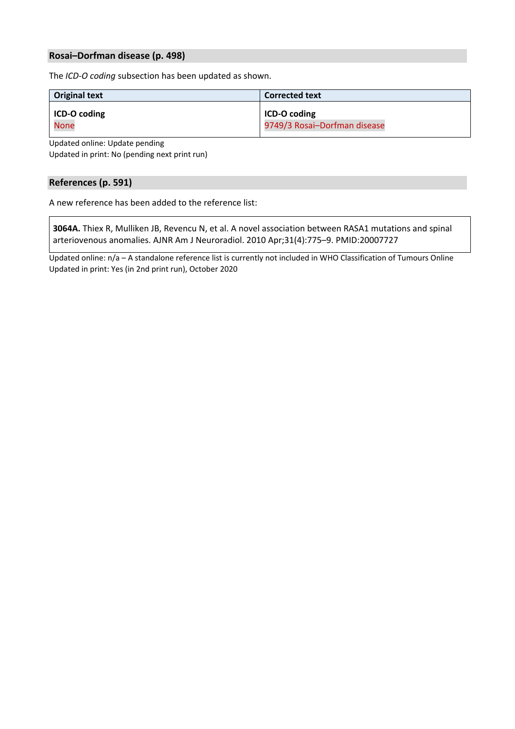# **Rosai–Dorfman disease (p. 498)**

The *ICD‐O coding* subsection has been updated as shown.

| <b>Original text</b> | <b>Corrected text</b>        |
|----------------------|------------------------------|
| ICD-O coding         | ICD-O coding                 |
| <b>None</b>          | 9749/3 Rosai-Dorfman disease |

Updated online: Update pending

Updated in print: No (pending next print run)

# **References (p. 591)**

A new reference has been added to the reference list:

**3064A.** Thiex R, Mulliken JB, Revencu N, et al. A novel association between RASA1 mutations and spinal arteriovenous anomalies. AJNR Am J Neuroradiol. 2010 Apr;31(4):775–9. PMID:20007727

Updated online: n/a – A standalone reference list is currently not included in WHO Classification of Tumours Online Updated in print: Yes (in 2nd print run), October 2020